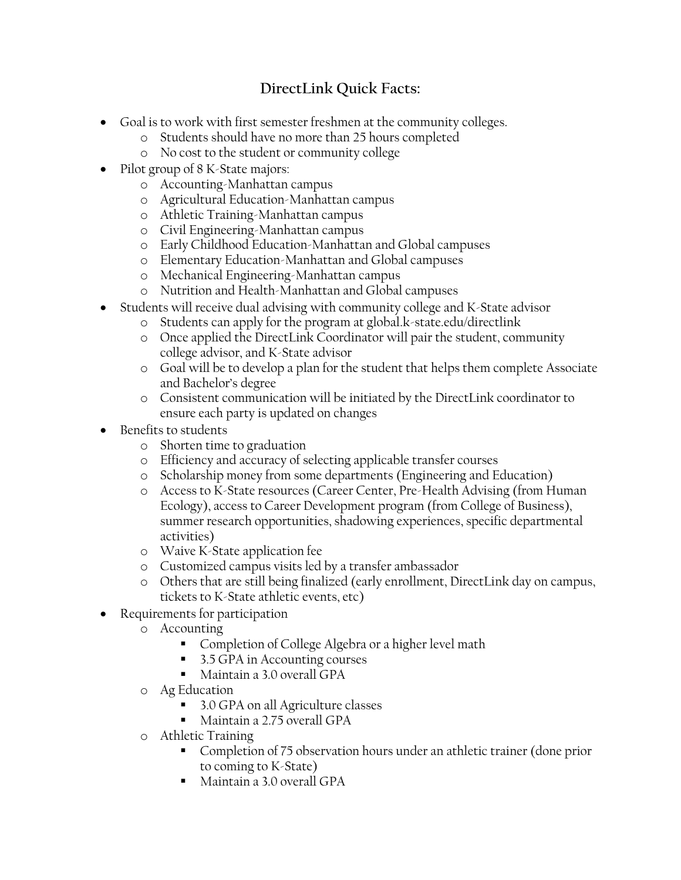## **DirectLink Quick Facts:**

- Goal is to work with first semester freshmen at the community colleges.
	- o Students should have no more than 25 hours completed
	- o No cost to the student or community college
- Pilot group of 8 K-State majors:
	- o Accounting-Manhattan campus
	- o Agricultural Education-Manhattan campus
	- o Athletic Training-Manhattan campus
	- o Civil Engineering-Manhattan campus
	- o Early Childhood Education-Manhattan and Global campuses
	- o Elementary Education-Manhattan and Global campuses
	- o Mechanical Engineering-Manhattan campus
	- o Nutrition and Health-Manhattan and Global campuses
- Students will receive dual advising with community college and K-State advisor
	- o Students can apply for the program at global.k-state.edu/directlink
	- o Once applied the DirectLink Coordinator will pair the student, community college advisor, and K-State advisor
	- o Goal will be to develop a plan for the student that helps them complete Associate and Bachelor's degree
	- o Consistent communication will be initiated by the DirectLink coordinator to ensure each party is updated on changes
- Benefits to students
	- o Shorten time to graduation
	- o Efficiency and accuracy of selecting applicable transfer courses
	- o Scholarship money from some departments (Engineering and Education)
	- o Access to K-State resources (Career Center, Pre-Health Advising (from Human Ecology), access to Career Development program (from College of Business), summer research opportunities, shadowing experiences, specific departmental activities)
	- o Waive K-State application fee
	- o Customized campus visits led by a transfer ambassador
	- o Others that are still being finalized (early enrollment, DirectLink day on campus, tickets to K-State athletic events, etc)
- Requirements for participation
	- o Accounting
		- **Completion of College Algebra or a higher level math**
		- 3.5 GPA in Accounting courses
		- Maintain a 3.0 overall GPA
	- o Ag Education
		- 3.0 GPA on all Agriculture classes
		- Maintain a 2.75 overall GPA
	- o Athletic Training
		- Completion of 75 observation hours under an athletic trainer (done prior to coming to K-State)
		- Maintain a 3.0 overall GPA